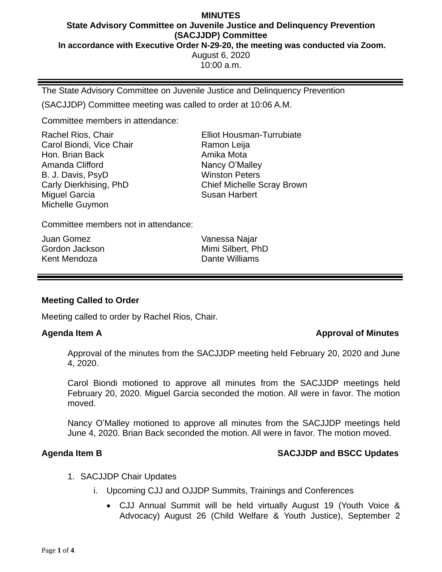### **MINUTES State Advisory Committee on Juvenile Justice and Delinquency Prevention (SACJJDP) Committee In accordance with Executive Order N-29-20, the meeting was conducted via Zoom.** August 6, 2020 10:00 a.m.

The State Advisory Committee on Juvenile Justice and Delinquency Prevention

(SACJJDP) Committee meeting was called to order at 10:06 A.M.

Committee members in attendance:

Rachel Rios, Chair Carol Biondi, Vice Chair Hon. Brian Back Amanda Clifford B. J. Davis, PsyD Carly Dierkhising, PhD Miguel Garcia Michelle Guymon

Elliot Housman-Turrubiate Ramon Leija Amika Mota Nancy O'Malley Winston Peters Chief Michelle Scray Brown Susan Harbert

Committee members not in attendance:

Juan Gomez Gordon Jackson Kent Mendoza

Vanessa Najar Mimi Silbert, PhD Dante Williams

# **Meeting Called to Order**

Meeting called to order by Rachel Rios, Chair.

### **Agenda Item A Approval of Minutes**

Approval of the minutes from the SACJJDP meeting held February 20, 2020 and June 4, 2020.

Carol Biondi motioned to approve all minutes from the SACJJDP meetings held February 20, 2020. Miguel Garcia seconded the motion. All were in favor. The motion moved.

Nancy O'Malley motioned to approve all minutes from the SACJJDP meetings held June 4, 2020. Brian Back seconded the motion. All were in favor. The motion moved.

# **Agenda Item B SACJJDP and BSCC Updates**

- 1. SACJJDP Chair Updates
	- i. Upcoming CJJ and OJJDP Summits, Trainings and Conferences
		- CJJ Annual Summit will be held virtually August 19 (Youth Voice & Advocacy) August 26 (Child Welfare & Youth Justice), September 2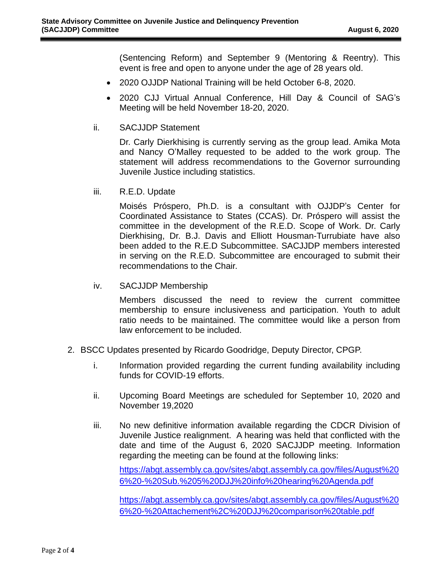(Sentencing Reform) and September 9 (Mentoring & Reentry). This event is free and open to anyone under the age of 28 years old.

- 2020 OJJDP National Training will be held October 6-8, 2020.
- 2020 CJJ Virtual Annual Conference, Hill Day & Council of SAG's Meeting will be held November 18-20, 2020.
- ii. SACJJDP Statement

Dr. Carly Dierkhising is currently serving as the group lead. Amika Mota and Nancy O'Malley requested to be added to the work group. The statement will address recommendations to the Governor surrounding Juvenile Justice including statistics.

iii. R.E.D. Update

Moisés Próspero, Ph.D. is a consultant with OJJDP's Center for Coordinated Assistance to States (CCAS). Dr. Próspero will assist the committee in the development of the R.E.D. Scope of Work. Dr. Carly Dierkhising, Dr. B.J. Davis and Elliott Housman-Turrubiate have also been added to the R.E.D Subcommittee. SACJJDP members interested in serving on the R.E.D. Subcommittee are encouraged to submit their recommendations to the Chair.

iv. SACJJDP Membership

Members discussed the need to review the current committee membership to ensure inclusiveness and participation. Youth to adult ratio needs to be maintained. The committee would like a person from law enforcement to be included.

- 2. BSCC Updates presented by Ricardo Goodridge, Deputy Director, CPGP.
	- i. Information provided regarding the current funding availability including funds for COVID-19 efforts.
	- ii. Upcoming Board Meetings are scheduled for September 10, 2020 and November 19,2020
	- iii. No new definitive information available regarding the CDCR Division of Juvenile Justice realignment. A hearing was held that conflicted with the date and time of the August 6, 2020 SACJJDP meeting. Information regarding the meeting can be found at the following links:

[https://abgt.assembly.ca.gov/sites/abgt.assembly.ca.gov/files/August%20](https://abgt.assembly.ca.gov/sites/abgt.assembly.ca.gov/files/August%206%20-%20Sub.%205%20DJJ%20info%20hearing%20Agenda.pdf) [6%20-%20Sub.%205%20DJJ%20info%20hearing%20Agenda.pdf](https://abgt.assembly.ca.gov/sites/abgt.assembly.ca.gov/files/August%206%20-%20Sub.%205%20DJJ%20info%20hearing%20Agenda.pdf)

[https://abgt.assembly.ca.gov/sites/abgt.assembly.ca.gov/files/August%20](https://abgt.assembly.ca.gov/sites/abgt.assembly.ca.gov/files/August%206%20-%20Attachement%2C%20DJJ%20comparison%20table.pdf) [6%20-%20Attachement%2C%20DJJ%20comparison%20table.pdf](https://abgt.assembly.ca.gov/sites/abgt.assembly.ca.gov/files/August%206%20-%20Attachement%2C%20DJJ%20comparison%20table.pdf)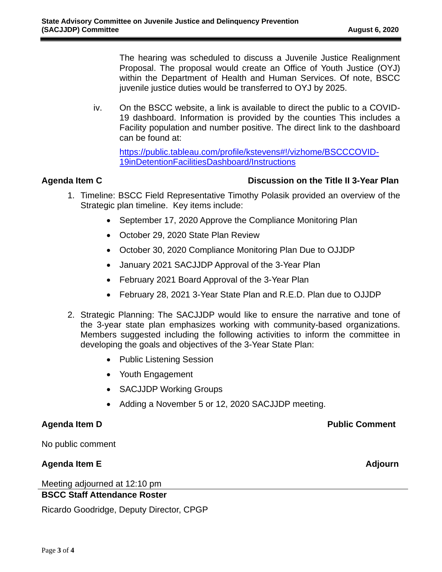The hearing was scheduled to discuss a Juvenile Justice Realignment Proposal. The proposal would create an Office of Youth Justice (OYJ) within the Department of Health and Human Services. Of note, BSCC juvenile justice duties would be transferred to OYJ by 2025.

iv. On the BSCC website, a link is available to direct the public to a COVID-19 dashboard. Information is provided by the counties This includes a Facility population and number positive. The direct link to the dashboard can be found at:

[https://public.tableau.com/profile/kstevens#!/vizhome/BSCCCOVID-](https://public.tableau.com/profile/kstevens#!/vizhome/BSCCCOVID-19inDetentionFacilitiesDashboard/Instructions)[19inDetentionFacilitiesDashboard/Instructions](https://public.tableau.com/profile/kstevens#!/vizhome/BSCCCOVID-19inDetentionFacilitiesDashboard/Instructions)

# **Agenda Item C Discussion on the Title II 3-Year Plan**

- 1. Timeline: BSCC Field Representative Timothy Polasik provided an overview of the Strategic plan timeline. Key items include:
	- September 17, 2020 Approve the Compliance Monitoring Plan
	- October 29, 2020 State Plan Review
	- October 30, 2020 Compliance Monitoring Plan Due to OJJDP
	- January 2021 SACJJDP Approval of the 3-Year Plan
	- February 2021 Board Approval of the 3-Year Plan
	- February 28, 2021 3-Year State Plan and R.E.D. Plan due to OJJDP
- 2. Strategic Planning: The SACJJDP would like to ensure the narrative and tone of the 3-year state plan emphasizes working with community-based organizations. Members suggested including the following activities to inform the committee in developing the goals and objectives of the 3-Year State Plan:
	- Public Listening Session
	- Youth Engagement
	- SACJJDP Working Groups
	- Adding a November 5 or 12, 2020 SACJJDP meeting.

**Agenda Item D Public Comment**

No public comment

# **Agenda Item E Adjourn**

Meeting adjourned at 12:10 pm

# **BSCC Staff Attendance Roster**

Ricardo Goodridge, Deputy Director, CPGP